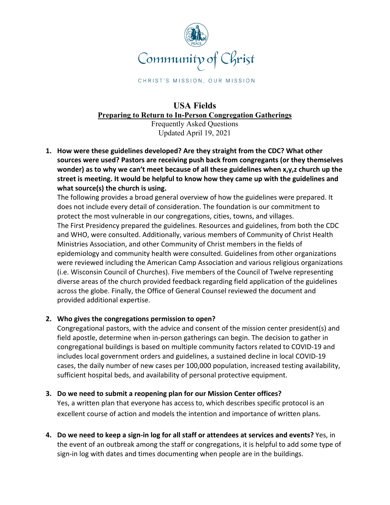

CHRIST'S MISSION, OUR MISSION

## **USA Fields Preparing to Return to In-Person Congregation Gatherings** Frequently Asked Questions

Updated April 19, 2021

**1. How were these guidelines developed? Are they straight from the CDC? What other sources were used? Pastors are receiving push back from congregants (or they themselves wonder) as to why we can't meet because of all these guidelines when x,y,z church up the street is meeting. It would be helpful to know how they came up with the guidelines and what source(s) the church is using.**

The following provides a broad general overview of how the guidelines were prepared. It does not include every detail of consideration. The foundation is our commitment to protect the most vulnerable in our congregations, cities, towns, and villages. The First Presidency prepared the guidelines. Resources and guidelines, from both the CDC and WHO, were consulted. Additionally, various members of Community of Christ Health Ministries Association, and other Community of Christ members in the fields of epidemiology and community health were consulted. Guidelines from other organizations were reviewed including the American Camp Association and various religious organizations (i.e. Wisconsin Council of Churches). Five members of the Council of Twelve representing diverse areas of the church provided feedback regarding field application of the guidelines across the globe. Finally, the Office of General Counsel reviewed the document and provided additional expertise.

# **2. Who gives the congregations permission to open?**

Congregational pastors, with the advice and consent of the mission center president(s) and field apostle, determine when in-person gatherings can begin. The decision to gather in congregational buildings is based on multiple community factors related to COVID-19 and includes local government orders and guidelines, a sustained decline in local COVID-19 cases, the daily number of new cases per 100,000 population, increased testing availability, sufficient hospital beds, and availability of personal protective equipment.

## **3. Do we need to submit a reopening plan for our Mission Center offices?**

Yes, a written plan that everyone has access to, which describes specific protocol is an excellent course of action and models the intention and importance of written plans.

**4. Do we need to keep a sign-in log for all staff or attendees at services and events?** Yes, in the event of an outbreak among the staff or congregations, it is helpful to add some type of sign-in log with dates and times documenting when people are in the buildings.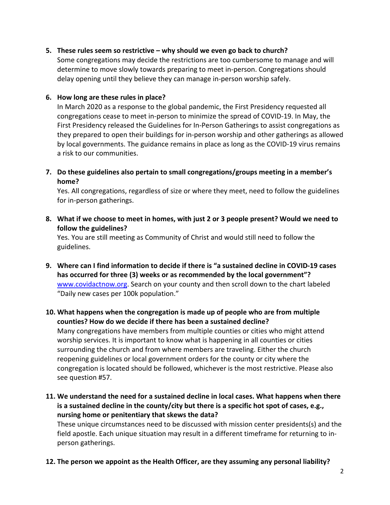## **5. These rules seem so restrictive – why should we even go back to church?**

Some congregations may decide the restrictions are too cumbersome to manage and will determine to move slowly towards preparing to meet in-person. Congregations should delay opening until they believe they can manage in-person worship safely.

#### **6. How long are these rules in place?**

In March 2020 as a response to the global pandemic, the First Presidency requested all congregations cease to meet in-person to minimize the spread of COVID-19. In May, the First Presidency released the Guidelines for In-Person Gatherings to assist congregations as they prepared to open their buildings for in-person worship and other gatherings as allowed by local governments. The guidance remains in place as long as the COVID-19 virus remains a risk to our communities.

**7. Do these guidelines also pertain to small congregations/groups meeting in a member's home?**

Yes. All congregations, regardless of size or where they meet, need to follow the guidelines for in-person gatherings.

**8. What if we choose to meet in homes, with just 2 or 3 people present? Would we need to follow the guidelines?**

Yes. You are still meeting as Community of Christ and would still need to follow the guidelines.

- **9. Where can I find information to decide if there is "a sustained decline in COVID-19 cases has occurred for three (3) weeks or as recommended by the local government"?** www.covidactnow.org. Search on your county and then scroll down to the chart labeled "Daily new cases per 100k population."
- **10. What happens when the congregation is made up of people who are from multiple counties? How do we decide if there has been a sustained decline?** Many congregations have members from multiple counties or cities who might attend worship services. It is important to know what is happening in all counties or cities surrounding the church and from where members are traveling. Either the church reopening guidelines or local government orders for the county or city where the congregation is located should be followed, whichever is the most restrictive. Please also see question #57.
- **11. We understand the need for a sustained decline in local cases. What happens when there is a sustained decline in the county/city but there is a specific hot spot of cases, e.g., nursing home or penitentiary that skews the data?**

These unique circumstances need to be discussed with mission center presidents(s) and the field apostle. Each unique situation may result in a different timeframe for returning to inperson gatherings.

**12. The person we appoint as the Health Officer, are they assuming any personal liability?**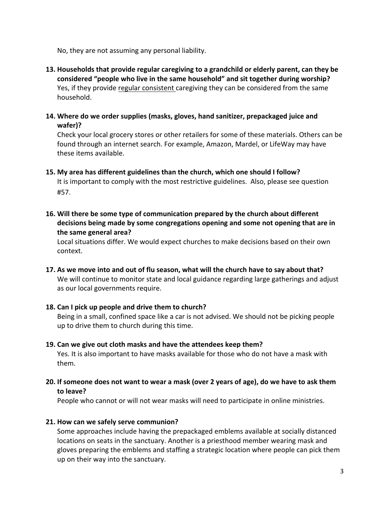No, they are not assuming any personal liability.

- **13. Households that provide regular caregiving to a grandchild or elderly parent, can they be considered "people who live in the same household" and sit together during worship?** Yes, if they provide regular consistent caregiving they can be considered from the same household.
- **14. Where do we order supplies (masks, gloves, hand sanitizer, prepackaged juice and wafer)?**

Check your local grocery stores or other retailers for some of these materials. Others can be found through an internet search. For example, Amazon, Mardel, or LifeWay may have these items available.

- **15. My area has different guidelines than the church, which one should I follow?** It is important to comply with the most restrictive guidelines. Also, please see question #57.
- **16. Will there be some type of communication prepared by the church about different decisions being made by some congregations opening and some not opening that are in the same general area?**

Local situations differ. We would expect churches to make decisions based on their own context.

- **17. As we move into and out of flu season, what will the church have to say about that?** We will continue to monitor state and local guidance regarding large gatherings and adjust as our local governments require.
- **18. Can I pick up people and drive them to church?**

Being in a small, confined space like a car is not advised. We should not be picking people up to drive them to church during this time.

- **19. Can we give out cloth masks and have the attendees keep them?** Yes. It is also important to have masks available for those who do not have a mask with them.
- **20. If someone does not want to wear a mask (over 2 years of age), do we have to ask them to leave?**

People who cannot or will not wear masks will need to participate in online ministries.

## **21. How can we safely serve communion?**

Some approaches include having the prepackaged emblems available at socially distanced locations on seats in the sanctuary. Another is a priesthood member wearing mask and gloves preparing the emblems and staffing a strategic location where people can pick them up on their way into the sanctuary.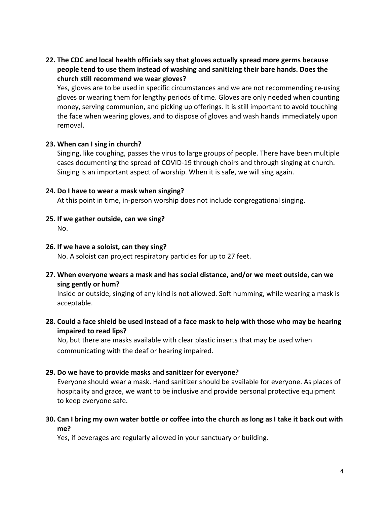**22. The CDC and local health officials say that gloves actually spread more germs because people tend to use them instead of washing and sanitizing their bare hands. Does the church still recommend we wear gloves?**

Yes, gloves are to be used in specific circumstances and we are not recommending re-using gloves or wearing them for lengthy periods of time. Gloves are only needed when counting money, serving communion, and picking up offerings. It is still important to avoid touching the face when wearing gloves, and to dispose of gloves and wash hands immediately upon removal.

### **23. When can I sing in church?**

Singing, like coughing, passes the virus to large groups of people. There have been multiple cases documenting the spread of COVID-19 through choirs and through singing at church. Singing is an important aspect of worship. When it is safe, we will sing again.

## **24. Do I have to wear a mask when singing?**

At this point in time, in-person worship does not include congregational singing.

**25. If we gather outside, can we sing?**

No.

## **26. If we have a soloist, can they sing?**

No. A soloist can project respiratory particles for up to 27 feet.

**27. When everyone wears a mask and has social distance, and/or we meet outside, can we sing gently or hum?**

Inside or outside, singing of any kind is not allowed. Soft humming, while wearing a mask is acceptable.

**28. Could a face shield be used instead of a face mask to help with those who may be hearing impaired to read lips?**

No, but there are masks available with clear plastic inserts that may be used when communicating with the deaf or hearing impaired.

## **29. Do we have to provide masks and sanitizer for everyone?**

Everyone should wear a mask. Hand sanitizer should be available for everyone. As places of hospitality and grace, we want to be inclusive and provide personal protective equipment to keep everyone safe.

**30. Can I bring my own water bottle or coffee into the church as long as I take it back out with me?**

Yes, if beverages are regularly allowed in your sanctuary or building.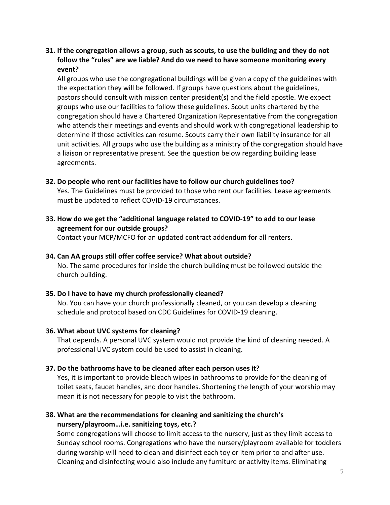## **31. If the congregation allows a group, such as scouts, to use the building and they do not follow the "rules" are we liable? And do we need to have someone monitoring every event?**

All groups who use the congregational buildings will be given a copy of the guidelines with the expectation they will be followed. If groups have questions about the guidelines, pastors should consult with mission center president(s) and the field apostle. We expect groups who use our facilities to follow these guidelines. Scout units chartered by the congregation should have a Chartered Organization Representative from the congregation who attends their meetings and events and should work with congregational leadership to determine if those activities can resume. Scouts carry their own liability insurance for all unit activities. All groups who use the building as a ministry of the congregation should have a liaison or representative present. See the question below regarding building lease agreements.

### **32. Do people who rent our facilities have to follow our church guidelines too?**

Yes. The Guidelines must be provided to those who rent our facilities. Lease agreements must be updated to reflect COVID-19 circumstances.

**33. How do we get the "additional language related to COVID-19" to add to our lease agreement for our outside groups?**

Contact your MCP/MCFO for an updated contract addendum for all renters.

#### **34. Can AA groups still offer coffee service? What about outside?**

No. The same procedures for inside the church building must be followed outside the church building.

### **35. Do I have to have my church professionally cleaned?**

No. You can have your church professionally cleaned, or you can develop a cleaning schedule and protocol based on CDC Guidelines for COVID-19 cleaning.

#### **36. What about UVC systems for cleaning?**

That depends. A personal UVC system would not provide the kind of cleaning needed. A professional UVC system could be used to assist in cleaning.

#### **37. Do the bathrooms have to be cleaned after each person uses it?**

Yes, it is important to provide bleach wipes in bathrooms to provide for the cleaning of toilet seats, faucet handles, and door handles. Shortening the length of your worship may mean it is not necessary for people to visit the bathroom.

## **38. What are the recommendations for cleaning and sanitizing the church's nursery/playroom…i.e. sanitizing toys, etc.?**

Some congregations will choose to limit access to the nursery, just as they limit access to Sunday school rooms. Congregations who have the nursery/playroom available for toddlers during worship will need to clean and disinfect each toy or item prior to and after use. Cleaning and disinfecting would also include any furniture or activity items. Eliminating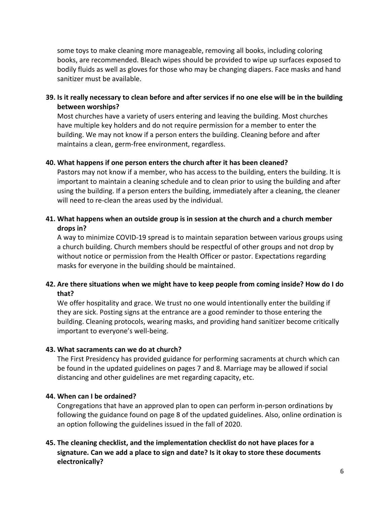some toys to make cleaning more manageable, removing all books, including coloring books, are recommended. Bleach wipes should be provided to wipe up surfaces exposed to bodily fluids as well as gloves for those who may be changing diapers. Face masks and hand sanitizer must be available.

## **39. Is it really necessary to clean before and after services if no one else will be in the building between worships?**

Most churches have a variety of users entering and leaving the building. Most churches have multiple key holders and do not require permission for a member to enter the building. We may not know if a person enters the building. Cleaning before and after maintains a clean, germ-free environment, regardless.

### **40. What happens if one person enters the church after it has been cleaned?**

Pastors may not know if a member, who has access to the building, enters the building. It is important to maintain a cleaning schedule and to clean prior to using the building and after using the building. If a person enters the building, immediately after a cleaning, the cleaner will need to re-clean the areas used by the individual.

## **41. What happens when an outside group is in session at the church and a church member drops in?**

A way to minimize COVID-19 spread is to maintain separation between various groups using a church building. Church members should be respectful of other groups and not drop by without notice or permission from the Health Officer or pastor. Expectations regarding masks for everyone in the building should be maintained.

## **42. Are there situations when we might have to keep people from coming inside? How do I do that?**

We offer hospitality and grace. We trust no one would intentionally enter the building if they are sick. Posting signs at the entrance are a good reminder to those entering the building. Cleaning protocols, wearing masks, and providing hand sanitizer become critically important to everyone's well-being.

#### **43. What sacraments can we do at church?**

The First Presidency has provided guidance for performing sacraments at church which can be found in the updated guidelines on pages 7 and 8. Marriage may be allowed if social distancing and other guidelines are met regarding capacity, etc.

#### **44. When can I be ordained?**

Congregations that have an approved plan to open can perform in-person ordinations by following the guidance found on page 8 of the updated guidelines. Also, online ordination is an option following the guidelines issued in the fall of 2020.

## **45. The cleaning checklist, and the implementation checklist do not have places for a signature. Can we add a place to sign and date? Is it okay to store these documents electronically?**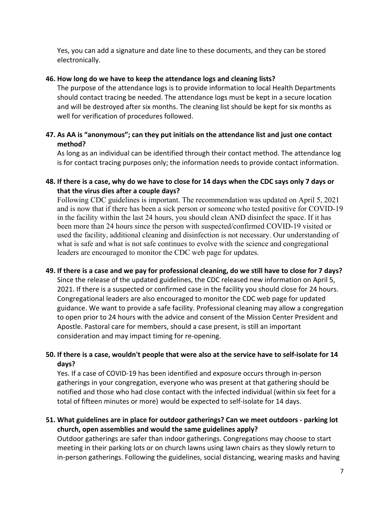Yes, you can add a signature and date line to these documents, and they can be stored electronically.

## **46. How long do we have to keep the attendance logs and cleaning lists?**

The purpose of the attendance logs is to provide information to local Health Departments should contact tracing be needed. The attendance logs must be kept in a secure location and will be destroyed after six months. The cleaning list should be kept for six months as well for verification of procedures followed.

## **47. As AA is "anonymous"; can they put initials on the attendance list and just one contact method?**

As long as an individual can be identified through their contact method. The attendance log is for contact tracing purposes only; the information needs to provide contact information.

## **48. If there is a case, why do we have to close for 14 days when the CDC says only 7 days or that the virus dies after a couple days?**

Following CDC guidelines is important. The recommendation was updated on April 5, 2021 and is now that if there has been a sick person or someone who tested positive for COVID-19 in the facility within the last 24 hours, you should clean AND disinfect the space. If it has been more than 24 hours since the person with suspected/confirmed COVID-19 visited or used the facility, additional cleaning and disinfection is not necessary. Our understanding of what is safe and what is not safe continues to evolve with the science and congregational leaders are encouraged to monitor the CDC web page for updates.

## **49. If there is a case and we pay for professional cleaning, do we still have to close for 7 days?** Since the release of the updated guidelines, the CDC released new information on April 5, 2021. If there is a suspected or confirmed case in the facility you should close for 24 hours. Congregational leaders are also encouraged to monitor the CDC web page for updated guidance. We want to provide a safe facility. Professional cleaning may allow a congregation to open prior to 24 hours with the advice and consent of the Mission Center President and Apostle. Pastoral care for members, should a case present, is still an important consideration and may impact timing for re-opening.

# **50. If there is a case, wouldn't people that were also at the service have to self-isolate for 14 days?**

Yes. If a case of COVID-19 has been identified and exposure occurs through in-person gatherings in your congregation, everyone who was present at that gathering should be notified and those who had close contact with the infected individual (within six feet for a total of fifteen minutes or more) would be expected to self-isolate for 14 days.

# **51. What guidelines are in place for outdoor gatherings? Can we meet outdoors - parking lot church, open assemblies and would the same guidelines apply?**

Outdoor gatherings are safer than indoor gatherings. Congregations may choose to start meeting in their parking lots or on church lawns using lawn chairs as they slowly return to in-person gatherings. Following the guidelines, social distancing, wearing masks and having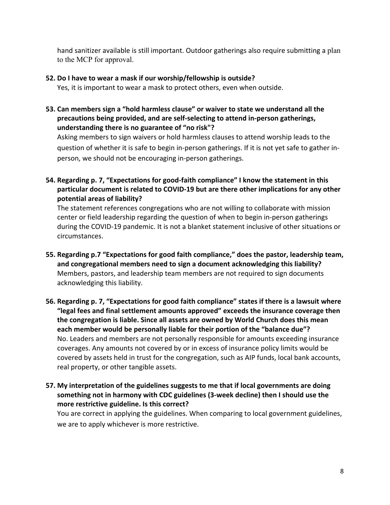hand sanitizer available is still important. Outdoor gatherings also require submitting a plan to the MCP for approval.

## **52. Do I have to wear a mask if our worship/fellowship is outside?**

Yes, it is important to wear a mask to protect others, even when outside.

**53. Can members sign a "hold harmless clause" or waiver to state we understand all the precautions being provided, and are self-selecting to attend in-person gatherings, understanding there is no guarantee of "no risk"?**

Asking members to sign waivers or hold harmless clauses to attend worship leads to the question of whether it is safe to begin in-person gatherings. If it is not yet safe to gather inperson, we should not be encouraging in-person gatherings.

**54. Regarding p. 7, "Expectations for good-faith compliance" I know the statement in this particular document is related to COVID-19 but are there other implications for any other potential areas of liability?**

The statement references congregations who are not willing to collaborate with mission center or field leadership regarding the question of when to begin in-person gatherings during the COVID-19 pandemic. It is not a blanket statement inclusive of other situations or circumstances.

- **55. Regarding p.7 "Expectations for good faith compliance," does the pastor, leadership team, and congregational members need to sign a document acknowledging this liability?** Members, pastors, and leadership team members are not required to sign documents acknowledging this liability.
- **56. Regarding p. 7, "Expectations for good faith compliance" states if there is a lawsuit where "legal fees and final settlement amounts approved" exceeds the insurance coverage then the congregation is liable. Since all assets are owned by World Church does this mean each member would be personally liable for their portion of the "balance due"?**  No. Leaders and members are not personally responsible for amounts exceeding insurance coverages. Any amounts not covered by or in excess of insurance policy limits would be covered by assets held in trust for the congregation, such as AIP funds, local bank accounts, real property, or other tangible assets.
- **57. My interpretation of the guidelines suggests to me that if local governments are doing something not in harmony with CDC guidelines (3-week decline) then I should use the more restrictive guideline. Is this correct?**

You are correct in applying the guidelines. When comparing to local government guidelines, we are to apply whichever is more restrictive.